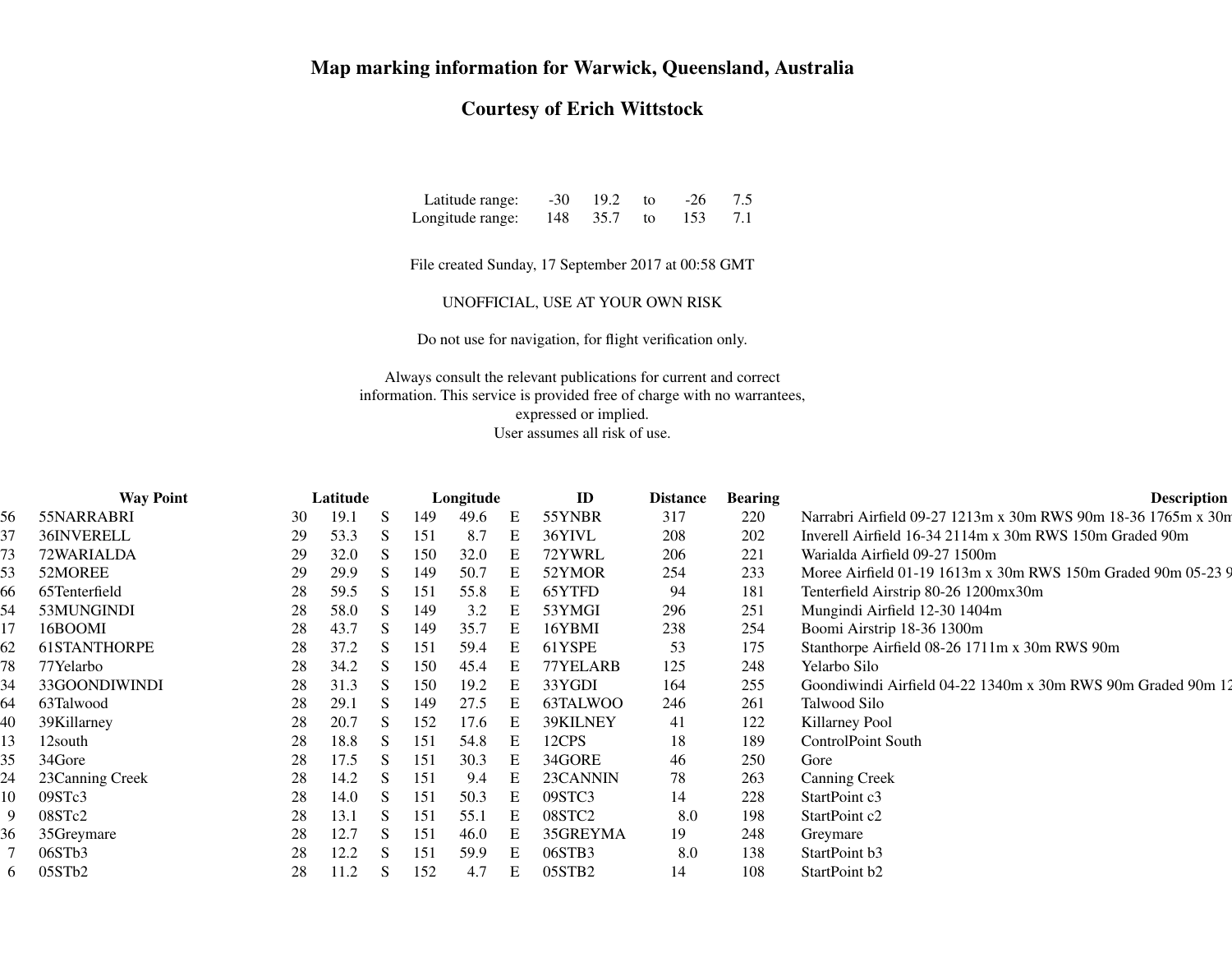## **Map marking information for Warwick, Queensland, Australia**

## **Courtesy of Erich Wittstock**

| Latitude range:  | $-30$ | 19.2 | to: | $-26$ | 7.5 |
|------------------|-------|------|-----|-------|-----|
| Longitude range: | 148   | 35.7 | to: | 153   | 7.1 |

File created Sunday, 17 September 2017 at 00:58 GMT

UNOFFICIAL, USE AT YOUR OWN RISK

Do not use for navigation, for flight verification only.

Always consult the relevant publications for current and correct information. This service is provided free of charge with no warrantees,expressed or implied.User assumes all risk of use.

|    | <b>Way Point</b>    | Latitude |      |    |     | Longitude |   | ID                 | <b>Distance</b> | <b>Bearing</b> | <b>Description</b>                                            |
|----|---------------------|----------|------|----|-----|-----------|---|--------------------|-----------------|----------------|---------------------------------------------------------------|
| 56 | 55NARRABRI          | 30       | 19.1 | S  | 149 | 49.6      | E | 55YNBR             | 317             | 220            | Narrabri Airfield 09-27 1213m x 30m RWS 90m 18-36 1765m x 30m |
| 37 | 36INVERELL          | 29       | 53.3 | S  | 151 | 8.7       | E | 36YIVL             | 208             | 202            | Inverell Airfield 16-34 2114m x 30m RWS 150m Graded 90m       |
| 73 | 72WARIALDA          | 29       | 32.0 | S. | 150 | 32.0      | E | 72YWRL             | 206             | 221            | Warialda Airfield 09-27 1500m                                 |
| 53 | 52MOREE             | 29       | 29.9 | S. | 149 | 50.7      | Е | 52YMOR             | 254             | 233            | Moree Airfield 01-19 1613m x 30m RWS 150m Graded 90m 05-23 9  |
| 66 | 65Tenterfield       | 28       | 59.5 | S  | 151 | 55.8      |   | 65YTFD             | 94              | 181            | Tenterfield Airstrip 80-26 1200mx30m                          |
| 54 | 53MUNGINDI          | 28       | 58.0 | S  | 149 | 3.2       | Е | 53YMGI             | 296             | 251            | Mungindi Airfield 12-30 1404m                                 |
|    | 16BOOMI             | 28       | 43.7 | S  | 149 | 35.7      | Ε | 16YBMI             | 238             | 254            | Boomi Airstrip 18-36 1300m                                    |
| 62 | <b>61STANTHORPE</b> | 28       | 37.2 | S. | 151 | 59.4      | E | 61YSPE             | 53              | 175            | Stanthorpe Airfield 08-26 1711m x 30m RWS 90m                 |
| 78 | 77Yelarbo           | 28       | 34.2 | S  | 150 | 45.4      |   | 77YELARB           | 125             | 248            | Yelarbo Silo                                                  |
| 34 | 33GOONDIWINDI       | 28       | 31.3 | S. | 150 | 19.2      |   | 33YGDI             | 164             | 255            | Goondiwindi Airfield 04-22 1340m x 30m RWS 90m Graded 90m 12  |
| 64 | 63Talwood           | 28       | 29.1 | S  | 149 | 27.5      |   | 63TALWOO           | 246             | 261            | Talwood Silo                                                  |
| 40 | 39Killarney         | 28       | 20.7 | S. | 152 | 17.6      |   | 39KILNEY           | 41              | 122            | Killarney Pool                                                |
| 13 | 12south             | 28       | 18.8 | S. | 151 | 54.8      | E | 12CPS              | 18              | 189            | <b>ControlPoint South</b>                                     |
| 35 | 34Gore              | 28       | 17.5 | S  | 151 | 30.3      |   | 34GORE             | 46              | 250            | Gore                                                          |
| 24 | 23Canning Creek     | 28       | 14.2 | S  | 151 | 9.4       | Е | 23CANNIN           | 78              | 263            | <b>Canning Creek</b>                                          |
| 10 | 09STc3              | 28       | 14.0 | S. | 151 | 50.3      | Ε | 09STC3             | 14              | 228            | StartPoint c3                                                 |
| 9  | 08STc2              | 28       | 13.1 | S  | 151 | 55.1      | Ε | 08STC <sub>2</sub> | 8.0             | 198            | StartPoint c2                                                 |
| 36 | 35Greymare          | 28       | 12.7 | S. | 151 | 46.0      |   | 35GREYMA           | 19              | 248            | Greymare                                                      |
|    | 06STb3              | 28       | 12.2 | S  | 151 | 59.9      | Е | 06STB3             | 8.0             | 138            | StartPoint b3                                                 |
| 6  | 05STb2              | 28       | 11.2 | S  | 152 | 4.7       | Е | 05STB <sub>2</sub> | 14              | 108            | StartPoint b2                                                 |
|    |                     |          |      |    |     |           |   |                    |                 |                |                                                               |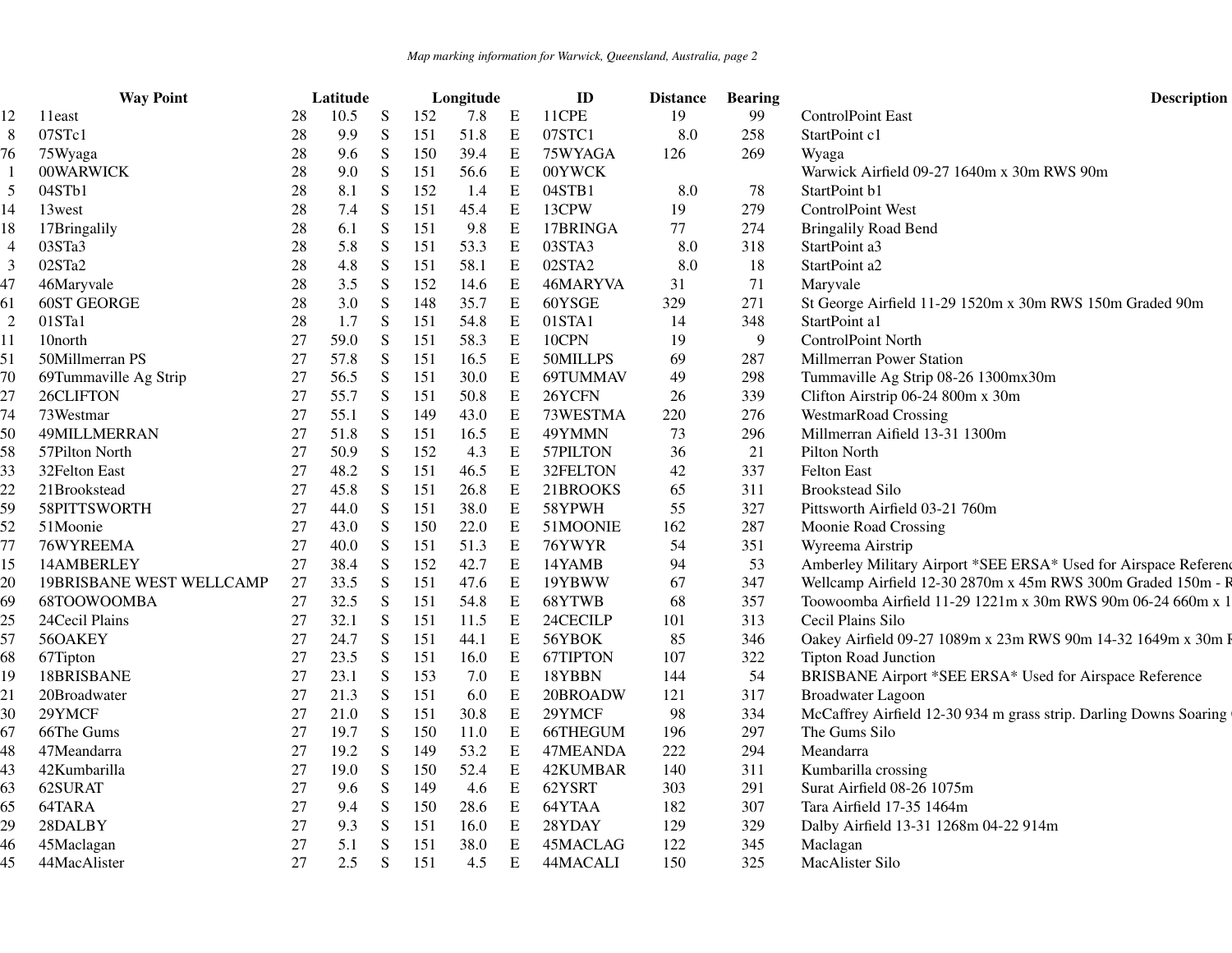|                 | <b>Way Point</b>                |        | Latitude |           |     | Longitude |             | ID       | <b>Distance</b> | <b>Bearing</b> | <b>Description</b>                                                |
|-----------------|---------------------------------|--------|----------|-----------|-----|-----------|-------------|----------|-----------------|----------------|-------------------------------------------------------------------|
| 12              | 11east                          | 28     | 10.5     | S         | 152 | 7.8       | E           | 11CPE    | 19              | 99             | <b>ControlPoint East</b>                                          |
| 8               | 07STc1                          | 28     | 9.9      | S         | 151 | 51.8      | E           | 07STC1   | 8.0             | 258            | StartPoint c1                                                     |
| 76              | 75Wyaga                         | 28     | 9.6      | ${\bf S}$ | 150 | 39.4      | E           | 75WYAGA  | 126             | 269            | Wyaga                                                             |
|                 | 00WARWICK                       | 28     | 9.0      | S         | 151 | 56.6      | E           | 00YWCK   |                 |                | Warwick Airfield 09-27 1640m x 30m RWS 90m                        |
| $5\overline{)}$ | 04STb1                          | 28     | 8.1      | ${\bf S}$ | 152 | 1.4       | $\mathbf E$ | 04STB1   | 8.0             | 78             | StartPoint b1                                                     |
| 14              | 13west                          | 28     | 7.4      | ${\bf S}$ | 151 | 45.4      | E           | 13CPW    | 19              | 279            | ControlPoint West                                                 |
| 18              | 17Bringalily                    | 28     | 6.1      | ${\bf S}$ | 151 | 9.8       | Е           | 17BRINGA | 77              | 274            | <b>Bringalily Road Bend</b>                                       |
| 4               | 03STa3                          | 28     | 5.8      | ${\bf S}$ | 151 | 53.3      | E           | 03STA3   | 8.0             | 318            | StartPoint a3                                                     |
| 3               | 02STa2                          | 28     | 4.8      | ${\bf S}$ | 151 | 58.1      | E           | 02STA2   | 8.0             | 18             | StartPoint a2                                                     |
| 47              | 46Maryvale                      | 28     | 3.5      | ${\bf S}$ | 152 | 14.6      | E           | 46MARYVA | 31              | 71             | Maryvale                                                          |
| 61              | <b>60ST GEORGE</b>              | 28     | 3.0      | ${\bf S}$ | 148 | 35.7      | E           | 60YSGE   | 329             | 271            | St George Airfield 11-29 1520m x 30m RWS 150m Graded 90m          |
| 2               | 01STa1                          | 28     | 1.7      | ${\bf S}$ | 151 | 54.8      | E           | 01STA1   | 14              | 348            | StartPoint a1                                                     |
| 11              | 10north                         | 27     | 59.0     | S         | 151 | 58.3      | E           | 10CPN    | 19              | 9              | ControlPoint North                                                |
| 51              | 50Millmerran PS                 | $27\,$ | 57.8     | ${\bf S}$ | 151 | 16.5      | E           | 50MILLPS | 69              | 287            | Millmerran Power Station                                          |
| 70              | 69Tummaville Ag Strip           | 27     | 56.5     | ${\bf S}$ | 151 | 30.0      | E           | 69TUMMAV | 49              | 298            | Tummaville Ag Strip 08-26 1300mx30m                               |
| 27              | 26CLIFTON                       | 27     | 55.7     | S         | 151 | 50.8      | E           | 26YCFN   | 26              | 339            | Clifton Airstrip 06-24 800m x 30m                                 |
| 74              | 73Westmar                       | 27     | 55.1     | ${\bf S}$ | 149 | 43.0      | E           | 73WESTMA | 220             | 276            | <b>WestmarRoad Crossing</b>                                       |
| 50              | 49MILLMERRAN                    | 27     | 51.8     | ${\bf S}$ | 151 | 16.5      | $\mathbf E$ | 49YMMN   | 73              | 296            | Millmerran Aifield 13-31 1300m                                    |
| 58              | 57Pilton North                  | 27     | 50.9     | S         | 152 | 4.3       | E           | 57PILTON | 36              | 21             | Pilton North                                                      |
| 33              | 32Felton East                   | 27     | 48.2     | S         | 151 | 46.5      | $\mathbf E$ | 32FELTON | 42              | 337            | Felton East                                                       |
| 22              | 21Brookstead                    | 27     | 45.8     | ${\bf S}$ | 151 | 26.8      | E           | 21BROOKS | 65              | 311            | <b>Brookstead Silo</b>                                            |
| 59              | 58PITTSWORTH                    | 27     | 44.0     | S         | 151 | 38.0      | $\mathbf E$ | 58YPWH   | 55              | 327            | Pittsworth Airfield 03-21 760m                                    |
| 52              | 51Moonie                        | 27     | 43.0     | ${\bf S}$ | 150 | 22.0      | E           | 51MOONIE | 162             | 287            | Moonie Road Crossing                                              |
| 77              | 76WYREEMA                       | 27     | 40.0     | S         | 151 | 51.3      | $\mathbf E$ | 76YWYR   | 54              | 351            | Wyreema Airstrip                                                  |
| 15              | 14AMBERLEY                      | 27     | 38.4     | ${\bf S}$ | 152 | 42.7      | E           | 14YAMB   | 94              | 53             | Amberley Military Airport *SEE ERSA* Used for Airspace Referenc   |
| 20              | <b>19BRISBANE WEST WELLCAMP</b> | 27     | 33.5     | S         | 151 | 47.6      | E           | 19YBWW   | 67              | 347            | Wellcamp Airfield 12-30 2870m x 45m RWS 300m Graded 150m - R      |
| 69              | 68TOOWOOMBA                     | 27     | 32.5     | ${\bf S}$ | 151 | 54.8      | E           | 68YTWB   | 68              | 357            | Toowoomba Airfield 11-29 1221m x 30m RWS 90m 06-24 660m x 1       |
| 25              | 24 Cecil Plains                 | 27     | 32.1     | ${\bf S}$ | 151 | 11.5      | E           | 24CECILP | 101             | 313            | Cecil Plains Silo                                                 |
| 57              | 56OAKEY                         | 27     | 24.7     | ${\bf S}$ | 151 | 44.1      | $\mathbf E$ | 56YBOK   | 85              | 346            | Oakey Airfield 09-27 1089m x 23m RWS 90m 14-32 1649m x 30m F      |
| 68              | 67Tipton                        | $27\,$ | 23.5     | ${\bf S}$ | 151 | 16.0      | $\mathbf E$ | 67TIPTON | 107             | 322            | <b>Tipton Road Junction</b>                                       |
| 19              | 18BRISBANE                      | $27\,$ | 23.1     | ${\bf S}$ | 153 | 7.0       | E           | 18YBBN   | 144             | 54             | BRISBANE Airport *SEE ERSA* Used for Airspace Reference           |
| 21              | 20Broadwater                    | 27     | 21.3     | ${\bf S}$ | 151 | 6.0       | $\,$ E      | 20BROADW | 121             | 317            | <b>Broadwater Lagoon</b>                                          |
| 30              | 29YMCF                          | 27     | 21.0     | ${\bf S}$ | 151 | 30.8      | $\mathbf E$ | 29YMCF   | 98              | 334            | McCaffrey Airfield 12-30 934 m grass strip. Darling Downs Soaring |
| 67              | 66The Gums                      | 27     | 19.7     | ${\bf S}$ | 150 | 11.0      | E           | 66THEGUM | 196             | 297            | The Gums Silo                                                     |
| 48              | 47Meandarra                     | 27     | 19.2     | ${\bf S}$ | 149 | 53.2      | E           | 47MEANDA | 222             | 294            | Meandarra                                                         |
| 43              | 42Kumbarilla                    | $27\,$ | 19.0     | ${\bf S}$ | 150 | 52.4      | $\mathbf E$ | 42KUMBAR | 140             | 311            | Kumbarilla crossing                                               |
| 63              | 62SURAT                         | $27\,$ | 9.6      | ${\bf S}$ | 149 | 4.6       | $\mathbf E$ | 62YSRT   | 303             | 291            | Surat Airfield 08-26 1075m                                        |
| 65              | 64TARA                          | 27     | 9.4      | ${\bf S}$ | 150 | 28.6      | E           | 64YTAA   | 182             | 307            | Tara Airfield 17-35 1464m                                         |
| 29              | 28DALBY                         | 27     | 9.3      | ${\bf S}$ | 151 | 16.0      | E           | 28YDAY   | 129             | 329            | Dalby Airfield 13-31 1268m 04-22 914m                             |
|                 | 45Maclagan                      | 27     | 5.1      | S         | 151 | 38.0      | E           | 45MACLAG | 122             | 345            | Maclagan                                                          |
| 46<br>45        | 44MacAlister                    | 27     | 2.5      | S         | 151 | 4.5       | E           | 44MACALI | 150             | 325            | MacAlister Silo                                                   |
|                 |                                 |        |          |           |     |           |             |          |                 |                |                                                                   |